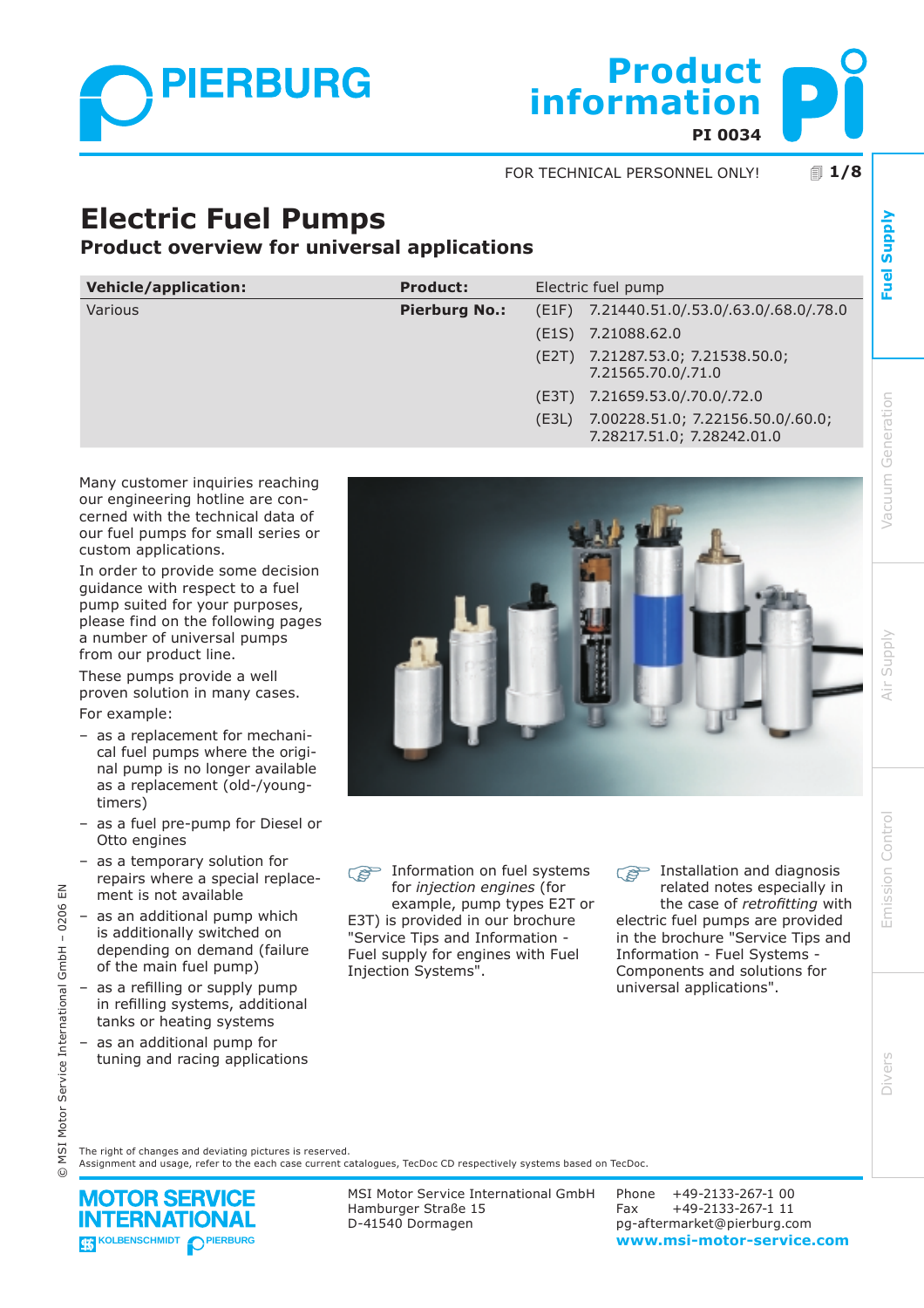

**PI 0034 information Product**

! **1/8** FOR TECHNICAL PERSONNEL ONLY!

# **Electric Fuel Pumps**

**Product overview for universal applications**

| <b>Vehicle/application:</b> | <b>Product:</b>      | Electric fuel pump |                                                                 |  |  |  |
|-----------------------------|----------------------|--------------------|-----------------------------------------------------------------|--|--|--|
| Various                     | <b>Pierburg No.:</b> |                    | (E1F) 7.21440.51.0/.53.0/.63.0/.68.0/.78.0                      |  |  |  |
|                             |                      | (E1S)              | 7.21088.62.0                                                    |  |  |  |
|                             |                      | (E2T)              | 7.21287.53.0; 7.21538.50.0;<br>7.21565.70.0/.71.0               |  |  |  |
|                             |                      |                    | (E3T) 7.21659.53.0/.70.0/.72.0                                  |  |  |  |
|                             |                      | (E3L)              | 7.00228.51.0; 7.22156.50.0/.60.0;<br>7.28217.51.0; 7.28242.01.0 |  |  |  |

Many customer inquiries reaching our engineering hotline are concerned with the technical data of our fuel pumps for small series or custom applications.

In order to provide some decision guidance with respect to a fuel pump suited for your purposes, please find on the following pages a number of universal pumps from our product line.

These pumps provide a well proven solution in many cases. For example:

- as a replacement for mechanical fuel pumps where the original pump is no longer available as a replacement (old-/youngtimers)
- as a fuel pre-pump for Diesel or Otto engines
- as a temporary solution for repairs where a special replacement is not available
- as an additional pump which is additionally switched on depending on demand (failure of the main fuel pump)
- $-$  as a refilling or supply pump in refilling systems, additional tanks or heating systems
- as an additional pump for tuning and racing applications

© MSI Motor Service International GmbH – 0206 EN

Motor Service International

vist  $\odot$ 

 $\leq$ 

 $GmbH - 0206$ 



 $\widehat{S}^{\sim}$  Information on fuel systems for *injection engines* (for example, pump types E2T or E3T) is provided in our brochure "Service Tips and Information - Fuel supply for engines with Fuel Injection Systems".

**Installation and diagnosis** related notes especially in the case of *retrofitting* with electric fuel pumps are provided in the brochure "Service Tips and Information - Fuel Systems - Components and solutions for universal applications".

The right of changes and deviating pictures is reserved.

Assignment and usage, refer to the each case current catalogues, TecDoc CD respectively systems based on TecDoc.

**MOTOR SERVICE ERNATIONAL** 

MSI Motor Service International GmbH Hamburger Straße 15 D-41540 Dormagen

**KOLBENSCHMIDT** PIERBURG<br> **KOLBENSCHMIDT** PIERBURG Phone +49-2133-267-1 00 Fax +49-2133-267-1 11 pg-aftermarket@pierburg.com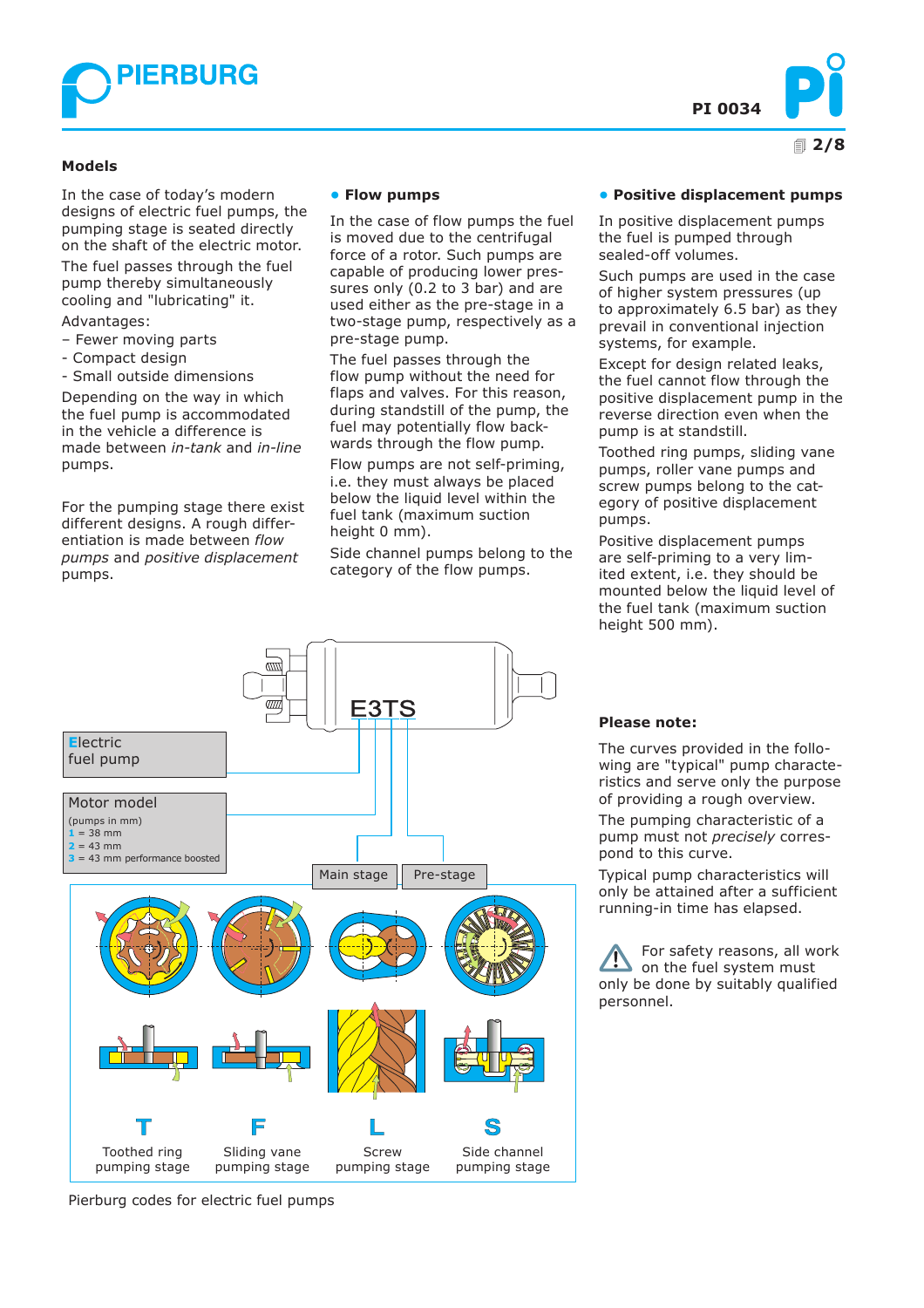



#### **Models**

In the case of today's modern designs of electric fuel pumps, the pumping stage is seated directly on the shaft of the electric motor.

The fuel passes through the fuel pump thereby simultaneously cooling and "lubricating" it.

Advantages:

- Fewer moving parts
- Compact design
- Small outside dimensions

Depending on the way in which the fuel pump is accommodated in the vehicle a difference is made between *in-tank* and *in-line* pumps.

For the pumping stage there exist different designs. A rough differentiation is made between *flow pumps* and *positive displacement* pumps.

#### **• Flow pumps**

In the case of flow pumps the fuel is moved due to the centrifugal force of a rotor. Such pumps are capable of producing lower pressures only (0.2 to 3 bar) and are used either as the pre-stage in a two-stage pump, respectively as a pre-stage pump.

The fuel passes through the flow pump without the need for flaps and valves. For this reason, during standstill of the pump, the fuel may potentially flow backwards through the flow pump.

Flow pumps are not self-priming, i.e. they must always be placed below the liquid level within the fuel tank (maximum suction height 0 mm).

Side channel pumps belong to the category of the flow pumps.

#### **• Positive displacement pumps**

In positive displacement pumps the fuel is pumped through sealed-off volumes.

Such pumps are used in the case of higher system pressures (up to approximately 6.5 bar) as they prevail in conventional injection systems, for example.

Except for design related leaks, the fuel cannot flow through the positive displacement pump in the reverse direction even when the pump is at standstill.

Toothed ring pumps, sliding vane pumps, roller vane pumps and screw pumps belong to the category of positive displacement pumps.

Positive displacement pumps are self-priming to a very limited extent, i.e. they should be mounted below the liquid level of the fuel tank (maximum suction height 500 mm).



Pierburg codes for electric fuel pumps

### **Please note:**

The curves provided in the following are "typical" pump characteristics and serve only the purpose of providing a rough overview.

The pumping characteristic of a pump must not *precisely* correspond to this curve.

Typical pump characteristics will only be attained after a sufficient running-in time has elapsed.

For safety reasons, all work on the fuel system must only be done by suitably qualified personnel.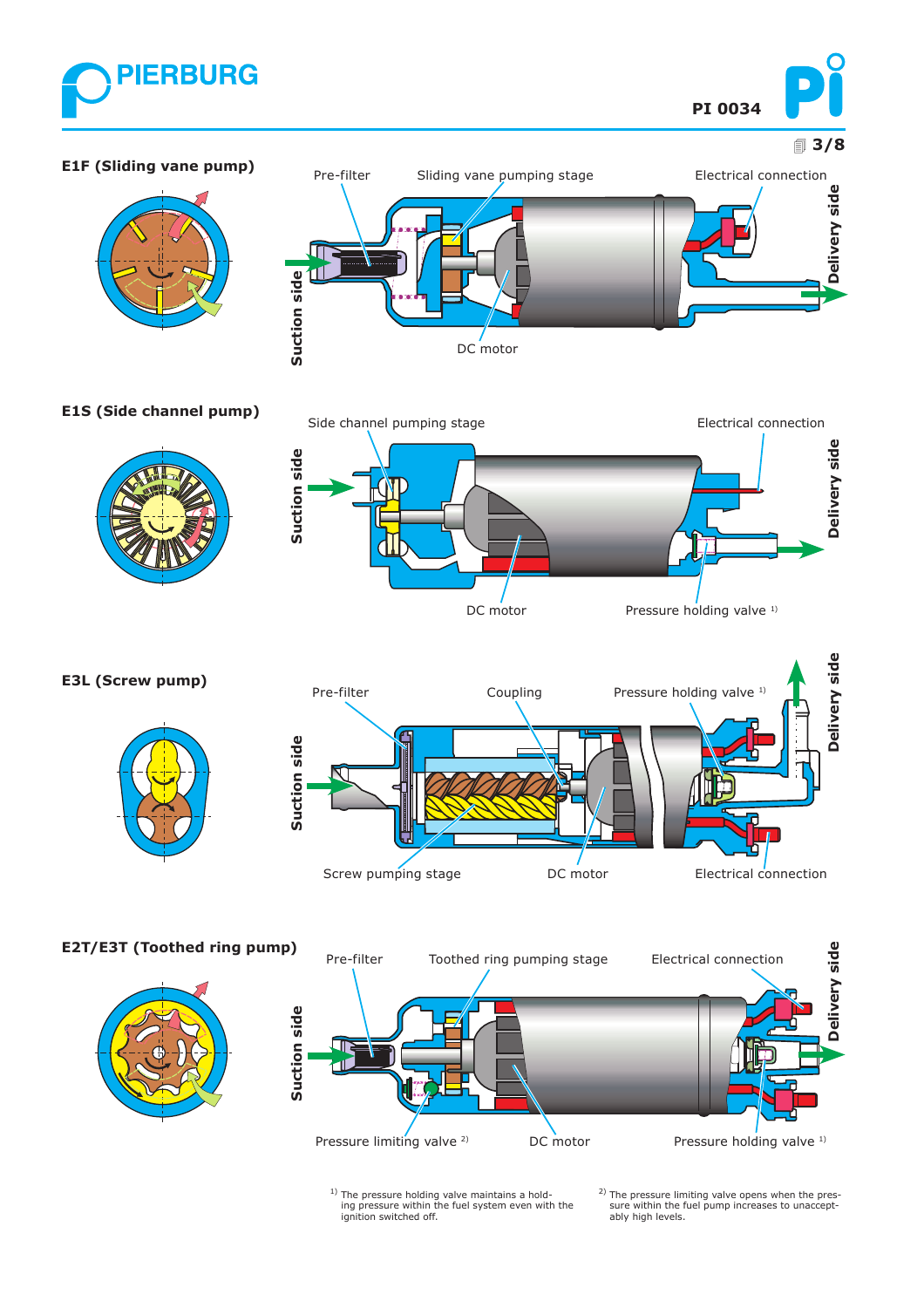





### **E1S (Side channel pump)**





### **E3L (Screw pump)**





**E2T/E3T (Toothed ring pump)**





<sup>1)</sup> The pressure holding valve maintains a hold-<br>ing pressure within the fuel system even with the<br>ignition switched off.

2) The pressure limiting valve opens when the pressure within the fuel pump increases to unaccept-ably high levels.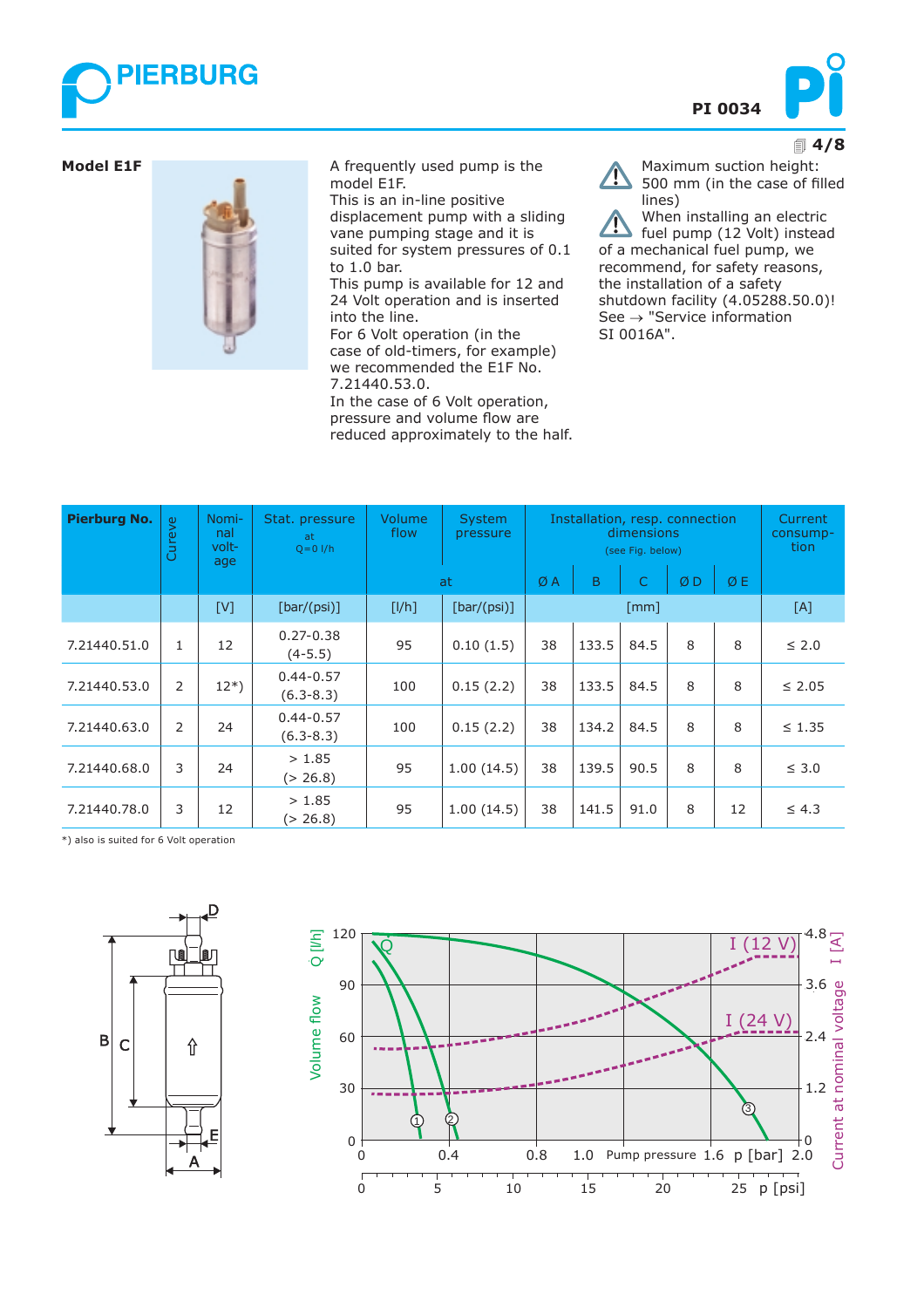



#### ! **4/8**



**Model E1F A** frequently used pump is the model E1F. This is an in-line positive

displacement pump with a sliding vane pumping stage and it is suited for system pressures of 0.1 to 1.0 bar.

This pump is available for 12 and 24 Volt operation and is inserted into the line.

For 6 Volt operation (in the case of old-timers, for example) we recommended the E1F No. 7.21440.53.0.

In the case of 6 Volt operation, pressure and volume flow are reduced approximately to the half.

Maximum suction height:  $\sqrt{N}$ 500 mm (in the case of filled lines)

When installing an electric fuel pump (12 Volt) instead of a mechanical fuel pump, we recommend, for safety reasons, the installation of a safety shutdown facility (4.05288.50.0)! See → "Service information SI 0016A".

| <b>Pierburg No.</b> | Cureve       | Nomi-<br>nal<br>volt-<br>age | Stat. pressure<br>at<br>$Q = 0$ $I/h$ | Volume.<br>flow | Installation, resp. connection | Current<br>consump-<br>tion |       |      |    |    |             |
|---------------------|--------------|------------------------------|---------------------------------------|-----------------|--------------------------------|-----------------------------|-------|------|----|----|-------------|
|                     |              |                              |                                       | at.             |                                | ØA                          | B     | C    | ØD | ØE |             |
|                     |              | [V]                          | [bar/(psi)]                           | [I/h]           | [bar/(psi)]                    | $\lceil mm \rceil$          |       |      |    |    | [A]         |
| 7.21440.51.0        | $\mathbf{1}$ | 12                           | $0.27 - 0.38$<br>$(4-5.5)$            | 95              | 0.10(1.5)                      | 38                          | 133.5 | 84.5 | 8  | 8  | $\leq 2.0$  |
| 7.21440.53.0        | 2            | $12*)$                       | $0.44 - 0.57$<br>$(6.3 - 8.3)$        | 100             | 0.15(2.2)                      | 38                          | 133.5 | 84.5 | 8  | 8  | $\leq 2.05$ |
| 7.21440.63.0        | 2            | 24                           | $0.44 - 0.57$<br>$(6.3 - 8.3)$        | 100             | 0.15(2.2)                      | 38                          | 134.2 | 84.5 | 8  | 8  | $\leq 1.35$ |
| 7.21440.68.0        | 3            | 24                           | > 1.85<br>(> 26.8)                    | 95              | 1.00(14.5)                     | 38                          | 139.5 | 90.5 | 8  | 8  | $\leq 3.0$  |
| 7.21440.78.0        | 3            | 12                           | > 1.85<br>(> 26.8)                    | 95              | 1.00(14.5)                     | 38                          | 141.5 | 91.0 | 8  | 12 | $\leq 4.3$  |

\*) also is suited for 6 Volt operation



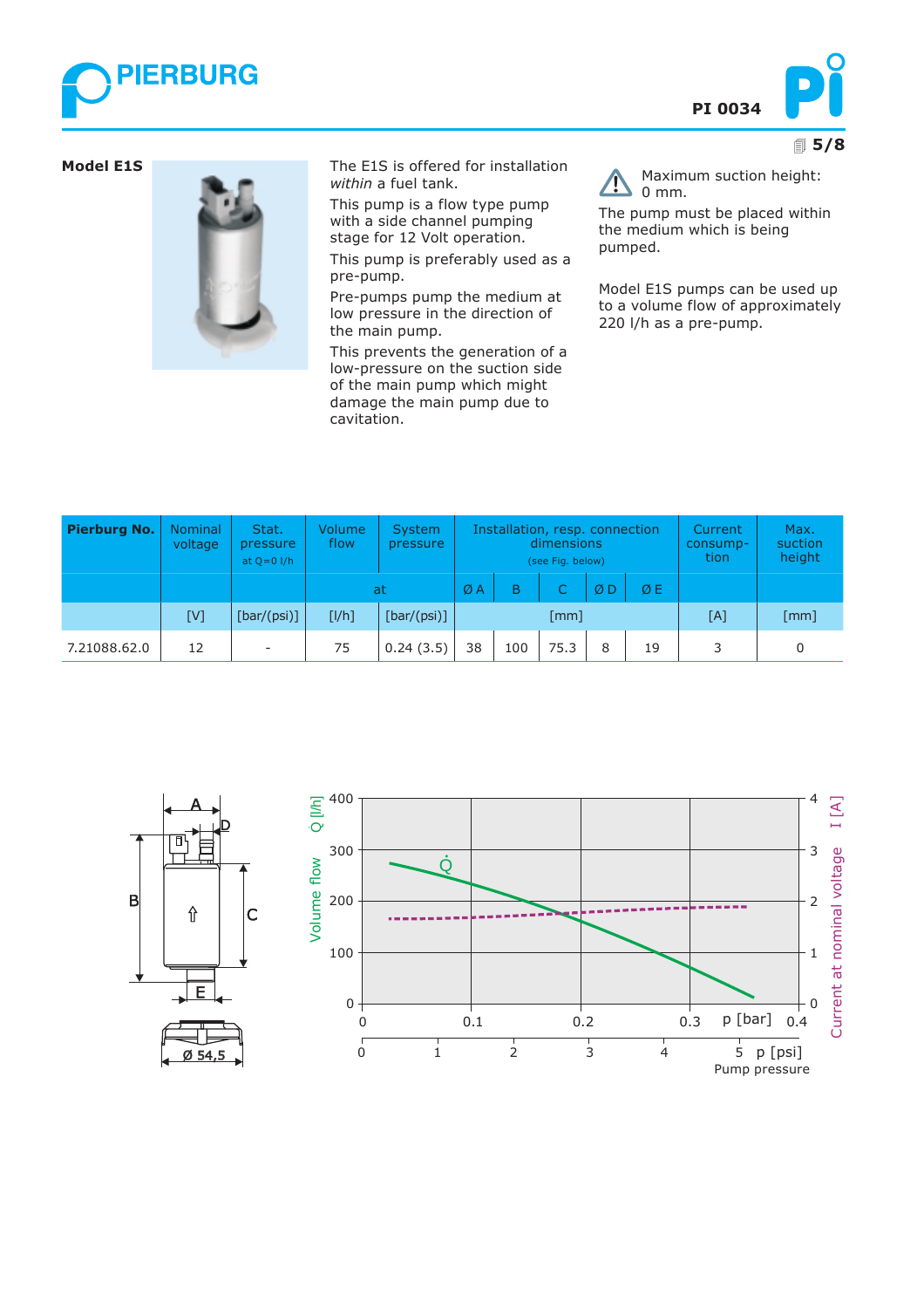





**Model E1S** The E1S is offered for installation *within* a fuel tank.

> This pump is a flow type pump with a side channel pumping stage for 12 Volt operation.

This pump is preferably used as a pre-pump.

Pre-pumps pump the medium at low pressure in the direction of the main pump.

This prevents the generation of a low-pressure on the suction side of the main pump which might damage the main pump due to cavitation.

Maximum suction height: 0 mm.

The pump must be placed within the medium which is being pumped.

Model E1S pumps can be used up to a volume flow of approximately 220 l/h as a pre-pump.

| <b>Pierburg No.</b> | <b>Nominal</b><br>voltage | Stat.<br>pressure<br>at $Q = 0$ $I/h$ | Volume<br>flow | Installation, resp. connection<br>System<br>dimensions<br>pressure<br>(see Fig. below) |                      |     |      |    | Current<br>consump-<br>tion | Max.<br>suction<br>height |                    |
|---------------------|---------------------------|---------------------------------------|----------------|----------------------------------------------------------------------------------------|----------------------|-----|------|----|-----------------------------|---------------------------|--------------------|
|                     |                           |                                       | at             | ØA                                                                                     | B                    | C.  | ØD   | ØΕ |                             |                           |                    |
|                     | [V]                       | [bar/(psi)]                           | [1/h]          | [bar/(psi)]                                                                            | $\lceil$ mm $\rceil$ |     |      |    |                             | [A]                       | $\lceil mm \rceil$ |
| 7.21088.62.0        | 12                        | -                                     | 75             | 0.24(3.5)                                                                              | 38                   | 100 | 75.3 | 8  | 19                          | ₹                         | n                  |

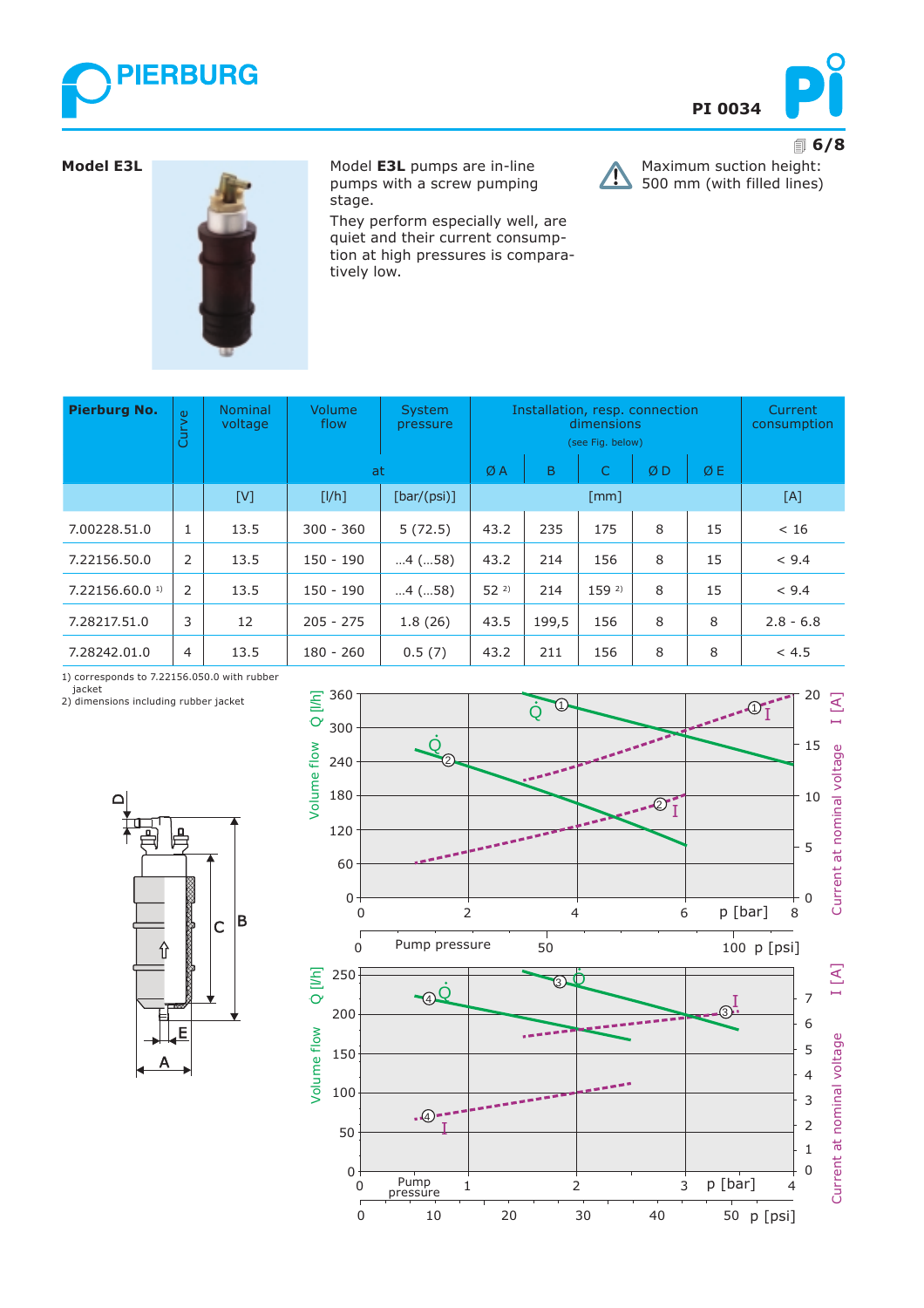



Maximum suction height: 500 mm (with filled lines)

 $\sqrt{ }$ 

#### **Model E3L**



Model **E3L** pumps are in-line pumps with a screw pumping stage.

They perform especially well, are quiet and their current consumption at high pressures is comparatively low.

| <b>Pierburg No.</b>          | Curve | <b>Nominal</b><br>voltage | Volume<br>flow | <b>System</b><br>pressure | Installation, resp. connection<br>dimensions<br>(see Fig. below) |       |                  | Current<br>consumption |     |             |
|------------------------------|-------|---------------------------|----------------|---------------------------|------------------------------------------------------------------|-------|------------------|------------------------|-----|-------------|
|                              |       |                           | at             |                           | ØA                                                               | B     | C                | ØD                     | ØE  |             |
|                              |       | [V]                       | [I/h]          | [bar/(psi)]               | $\lceil mm \rceil$                                               |       |                  |                        | [A] |             |
| 7.00228.51.0                 |       | 13.5                      | $300 - 360$    | 5(72.5)                   | 43.2                                                             | 235   | 175              | 8                      | 15  | < 16        |
| 7.22156.50.0                 | 2     | 13.5                      | $150 - 190$    | $4$ (58)                  | 43.2                                                             | 214   | 156              | 8                      | 15  | < 9.4       |
| $7.22156.60.0$ <sup>1)</sup> | 2     | 13.5                      | $150 - 190$    | $4$ (58)                  | $52^{2}$                                                         | 214   | 159 <sup>2</sup> | 8                      | 15  | < 9.4       |
| 7.28217.51.0                 | 3     | 12                        | $205 - 275$    | 1.8(26)                   | 43.5                                                             | 199,5 | 156              | 8                      | 8   | $2.8 - 6.8$ |
| 7.28242.01.0                 | 4     | 13.5                      | $180 - 260$    | 0.5(7)                    | 43.2                                                             | 211   | 156              | 8                      | 8   | < 4.5       |

1) corresponds to 7.22156.050.0 with rubber

jacket 2) dimensions including rubber jacket



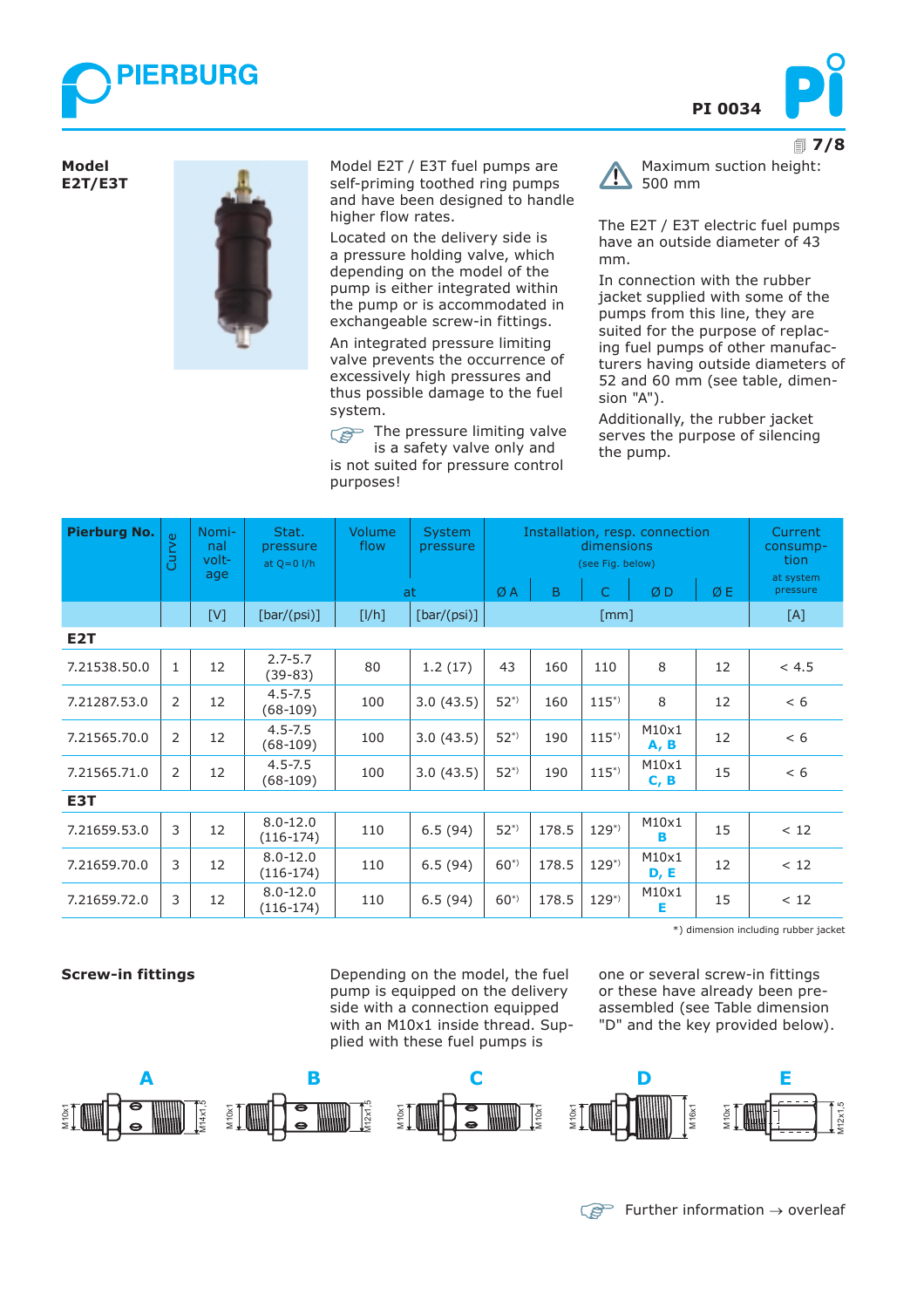



! **7/8**

**Model E2T/E3T**



Model E2T / E3T fuel pumps are self-priming toothed ring pumps and have been designed to handle higher flow rates.

Located on the delivery side is a pressure holding valve, which depending on the model of the pump is either integrated within the pump or is accommodated in exchangeable screw-in fittings.

An integrated pressure limiting valve prevents the occurrence of excessively high pressures and thus possible damage to the fuel system.

The pressure limiting valve is a safety valve only and

is not suited for pressure control purposes!

 $\sqrt{1}$ 

Maximum suction height: 500 mm

The E2T / E3T electric fuel pumps have an outside diameter of 43 mm.

In connection with the rubber jacket supplied with some of the pumps from this line, they are suited for the purpose of replacing fuel pumps of other manufacturers having outside diameters of 52 and 60 mm (see table, dimension "A").

Additionally, the rubber jacket serves the purpose of silencing the pump.

| <b>Pierburg No.</b> | Curve          | Nomi-<br>nal<br>volt-<br>age | Stat.<br>pressure<br>at $Q = 0$ $I/h$ | <b>Volume</b><br>flow | <b>System</b><br>pressure |          | Installation, resp. connection<br>dimensions<br>(see Fig. below) | Current<br>consump-<br>tion<br>at system |               |    |          |
|---------------------|----------------|------------------------------|---------------------------------------|-----------------------|---------------------------|----------|------------------------------------------------------------------|------------------------------------------|---------------|----|----------|
|                     |                |                              |                                       |                       | at                        | ØA       | B                                                                | Ċ.                                       | ØD            | ØE | pressure |
|                     |                | [V]                          | [bar/(psi)]                           | [1/h]                 | [bar/(psi)]               |          |                                                                  | $\lceil mm \rceil$                       |               |    | [A]      |
| E <sub>2</sub> T    |                |                              |                                       |                       |                           |          |                                                                  |                                          |               |    |          |
| 7.21538.50.0        | $\mathbf{1}$   | 12                           | $2.7 - 5.7$<br>$(39-83)$              | 80                    | 1.2(17)                   | 43       | 160                                                              | 110                                      | 8             | 12 | < 4.5    |
| 7.21287.53.0        | $\overline{2}$ | 12                           | $4.5 - 7.5$<br>$(68-109)$             | 100                   | 3.0(43.5)                 | $52^{*}$ | 160                                                              | $115^{*}$                                | 8             | 12 | < 6      |
| 7.21565.70.0        | 2              | 12                           | $4.5 - 7.5$<br>$(68-109)$             | 100                   | 3.0(43.5)                 | $52^{*}$ | 190                                                              | $115^{*}$                                | M10x1<br>A, B | 12 | < 6      |
| 7.21565.71.0        | $\overline{2}$ | 12                           | $4.5 - 7.5$<br>$(68-109)$             | 100                   | 3.0(43.5)                 | $52^{*}$ | 190                                                              | $115^{*}$                                | M10x1<br>C, B | 15 | < 6      |
| E3T                 |                |                              |                                       |                       |                           |          |                                                                  |                                          |               |    |          |
| 7.21659.53.0        | 3              | 12                           | $8.0 - 12.0$<br>$(116-174)$           | 110                   | 6.5(94)                   | $52^{*}$ | 178.5                                                            | $129^{*}$                                | M10x1<br>в    | 15 | < 12     |
| 7.21659.70.0        | 3              | 12                           | $8.0 - 12.0$<br>$(116-174)$           | 110                   | 6.5(94)                   | $60^{*}$ | 178.5                                                            | $129^{*}$                                | M10x1<br>D, E | 12 | < 12     |
| 7.21659.72.0        | 3              | 12                           | $8.0 - 12.0$<br>$(116-174)$           | 110                   | 6.5(94)                   | $60^{*}$ | 178.5                                                            | $129^{*}$                                | M10x1<br>Е    | 15 | < 12     |

\*) dimension including rubber jacket

**Screw-in fittings** The opending on the model, the fuel one or several screw-in fittings pump is equipped on the delivery side with a connection equipped with an M10x1 inside thread. Supplied with these fuel pumps is

or these have already been preassembled (see Table dimension "D" and the key provided below).